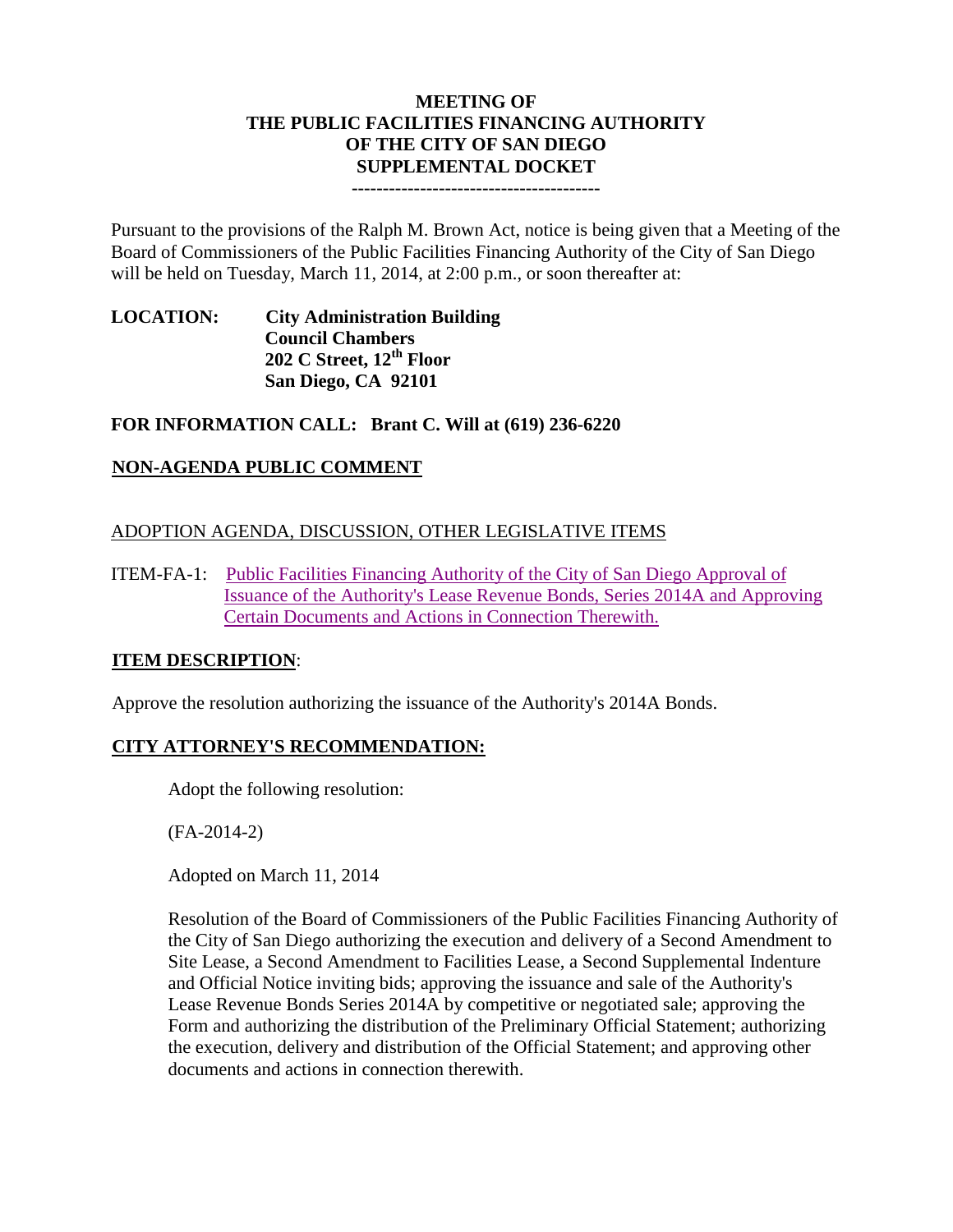#### **MEETING OF THE PUBLIC FACILITIES FINANCING AUTHORITY OF THE CITY OF SAN DIEGO SUPPLEMENTAL DOCKET ----------------------------------------**

Pursuant to the provisions of the Ralph M. Brown Act, notice is being given that a Meeting of the Board of Commissioners of the Public Facilities Financing Authority of the City of San Diego will be held on Tuesday, March 11, 2014, at 2:00 p.m., or soon thereafter at:

**LOCATION: City Administration Building Council Chambers 202 C Street, 12th Floor San Diego, CA 92101**

## **FOR INFORMATION CALL: Brant C. Will at (619) 236-6220**

## **NON-AGENDA PUBLIC COMMENT**

## ADOPTION AGENDA, DISCUSSION, OTHER LEGISLATIVE ITEMS

ITEM-FA-1: [Public Facilities Financing Authority of the City of San Diego Approval of](http://www.sandiego.gov/city-clerk/pdf/pffa/pffaexhibit140311.pdf)  [Issuance of the Authority's Lease Revenue Bonds, Series 2014A and Approving](http://www.sandiego.gov/city-clerk/pdf/pffa/pffaexhibit140311.pdf)  [Certain Documents and Actions in Connection Therewith.](http://www.sandiego.gov/city-clerk/pdf/pffa/pffaexhibit140311.pdf)

### **ITEM DESCRIPTION**:

Approve the resolution authorizing the issuance of the Authority's 2014A Bonds.

### **CITY ATTORNEY'S RECOMMENDATION:**

Adopt the following resolution:

(FA-2014-2)

Adopted on March 11, 2014

Resolution of the Board of Commissioners of the Public Facilities Financing Authority of the City of San Diego authorizing the execution and delivery of a Second Amendment to Site Lease, a Second Amendment to Facilities Lease, a Second Supplemental Indenture and Official Notice inviting bids; approving the issuance and sale of the Authority's Lease Revenue Bonds Series 2014A by competitive or negotiated sale; approving the Form and authorizing the distribution of the Preliminary Official Statement; authorizing the execution, delivery and distribution of the Official Statement; and approving other documents and actions in connection therewith.